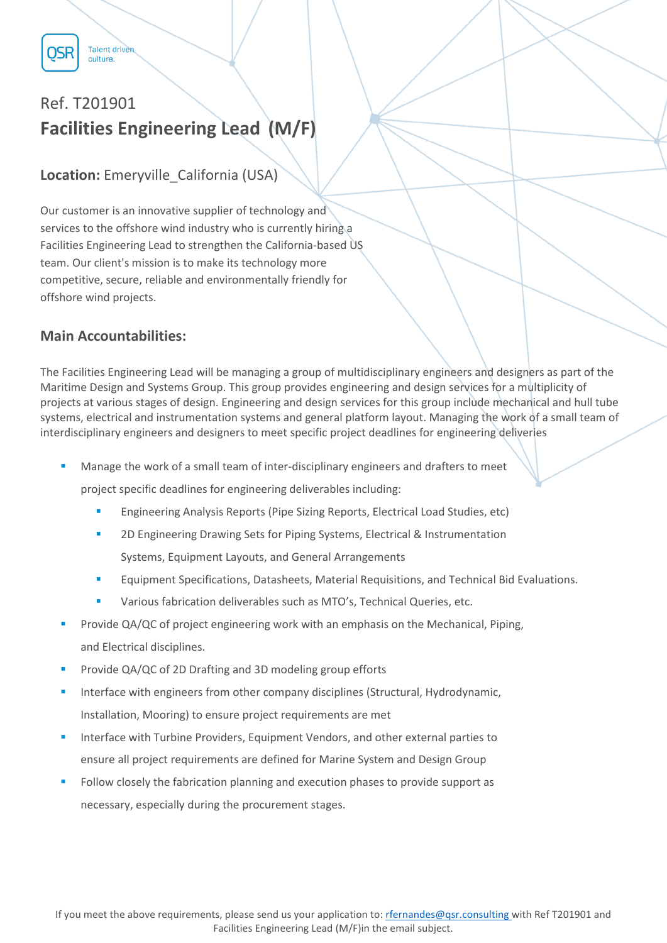

**Talent driven** culture.

# Ref. T201901 **Facilities Engineering Lead (M/F)**

## **Location:** Emeryville California (USA)

Our customer is an innovative supplier of technology and services to the offshore wind industry who is currently hiring a Facilities Engineering Lead to strengthen the California-based US team. Our client's mission is to make its technology more competitive, secure, reliable and environmentally friendly for offshore wind projects.

### **Main Accountabilities:**

The Facilities Engineering Lead will be managing a group of multidisciplinary engineers and designers as part of the Maritime Design and Systems Group. This group provides engineering and design services for a multiplicity of projects at various stages of design. Engineering and design services for this group include mechanical and hull tube systems, electrical and instrumentation systems and general platform layout. Managing the work of a small team of interdisciplinary engineers and designers to meet specific project deadlines for engineering deliveries

Manage the work of a small team of inter-disciplinary engineers and drafters to meet

project specific deadlines for engineering deliverables including:

- Engineering Analysis Reports (Pipe Sizing Reports, Electrical Load Studies, etc)
- 2D Engineering Drawing Sets for Piping Systems, Electrical & Instrumentation Systems, Equipment Layouts, and General Arrangements
- Equipment Specifications, Datasheets, Material Requisitions, and Technical Bid Evaluations.
- Various fabrication deliverables such as MTO's, Technical Queries, etc.
- Provide QA/QC of project engineering work with an emphasis on the Mechanical, Piping, and Electrical disciplines.
- Provide QA/QC of 2D Drafting and 3D modeling group efforts
- Interface with engineers from other company disciplines (Structural, Hydrodynamic, Installation, Mooring) to ensure project requirements are met
- Interface with Turbine Providers, Equipment Vendors, and other external parties to ensure all project requirements are defined for Marine System and Design Group
- Follow closely the fabrication planning and execution phases to provide support as necessary, especially during the procurement stages.